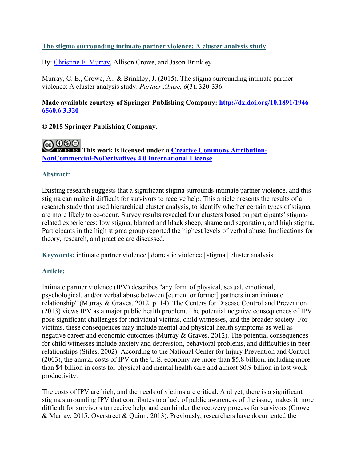## **The stigma surrounding intimate partner violence: A cluster analysis study**

By: [Christine E. Murray,](https://libres.uncg.edu/ir/uncg/clist.aspx?id=894) Allison Crowe, and Jason Brinkley

Murray, C. E., Crowe, A., & Brinkley, J. (2015). The stigma surrounding intimate partner violence: A cluster analysis study. *Partner Abuse, 6*(3), 320-336.

## **Made available courtesy of Springer Publishing Company: [http://dx.doi.org/10.1891/1946-](http://dx.doi.org/10.1891/1946-6560.6.3.320) [6560.6.3.320](http://dx.doi.org/10.1891/1946-6560.6.3.320)**

## **© 2015 Springer Publishing Company.**

**This work is licensed under a [Creative Commons Attribution-](http://creativecommons.org/licenses/by-nc-nd/4.0/)[NonCommercial-NoDerivatives 4.0 International License.](http://creativecommons.org/licenses/by-nc-nd/4.0/)**

## **Abstract:**

Existing research suggests that a significant stigma surrounds intimate partner violence, and this stigma can make it difficult for survivors to receive help. This article presents the results of a research study that used hierarchical cluster analysis, to identify whether certain types of stigma are more likely to co-occur. Survey results revealed four clusters based on participants' stigmarelated experiences: low stigma, blamed and black sheep, shame and separation, and high stigma. Participants in the high stigma group reported the highest levels of verbal abuse. Implications for theory, research, and practice are discussed.

**Keywords:** intimate partner violence | domestic violence | stigma | cluster analysis

## **Article:**

Intimate partner violence (IPV) describes "any form of physical, sexual, emotional, psychological, and/or verbal abuse between [current or former] partners in an intimate relationship" (Murray & Graves, 2012, p. 14). The Centers for Disease Control and Prevention (2013) views IPV as a major public health problem. The potential negative consequences of IPV pose significant challenges for individual victims, child witnesses, and the broader society. For victims, these consequences may include mental and physical health symptoms as well as negative career and economic outcomes (Murray & Graves, 2012). The potential consequences for child witnesses include anxiety and depression, behavioral problems, and difficulties in peer relationships (Stiles, 2002). According to the National Center for Injury Prevention and Control (2003), the annual costs of IPV on the U.S. economy are more than \$5.8 billion, including more than \$4 billion in costs for physical and mental health care and almost \$0.9 billion in lost work productivity.

The costs of IPV are high, and the needs of victims are critical. And yet, there is a significant stigma surrounding IPV that contributes to a lack of public awareness of the issue, makes it more difficult for survivors to receive help, and can hinder the recovery process for survivors (Crowe & Murray, 2015; Overstreet & Quinn, 2013). Previously, researchers have documented the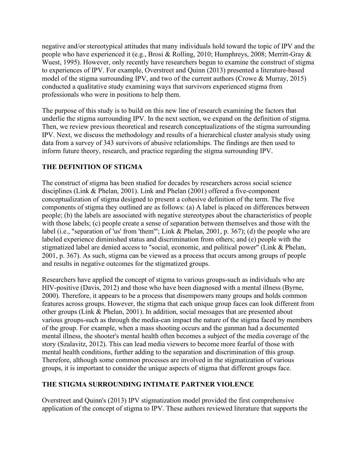negative and/or stereotypical attitudes that many individuals hold toward the topic of IPV and the people who have experienced it (e.g., Brosi & Rolling, 2010; Humphreys, 2008; Merritt-Gray & Wuest, 1995). However, only recently have researchers begun to examine the construct of stigma to experiences of IPV. For example, Overstreet and Quinn (2013) presented a literature-based model of the stigma surrounding IPV, and two of the current authors (Crowe & Murray, 2015) conducted a qualitative study examining ways that survivors experienced stigma from professionals who were in positions to help them.

The purpose of this study is to build on this new line of research examining the factors that underlie the stigma surrounding IPV. In the next section, we expand on the definition of stigma. Then, we review previous theoretical and research conceptualizations of the stigma surrounding IPV. Next, we discuss the methodology and results of a hierarchical cluster analysis study using data from a survey of 343 survivors of abusive relationships. The findings are then used to inform future theory, research, and practice regarding the stigma surrounding IPV.

# **THE DEFINITION OF STIGMA**

The construct of stigma has been studied for decades by researchers across social science disciplines (Link & Phelan, 2001). Link and Phelan (2001) offered a five-component conceptualization of stigma designed to present a cohesive definition of the term. The five components of stigma they outlined are as follows: (a) A label is placed on differences between people; (b) the labels are associated with negative stereotypes about the characteristics of people with those labels; (c) people create a sense of separation between themselves and those with the label (i.e., "separation of 'us' from 'them'"; Link & Phelan, 2001, p. 367); (d) the people who are labeled experience diminished status and discrimination from others; and (e) people with the stigmatized label are denied access to "social, economic, and political power" (Link & Phelan, 2001, p. 367). As such, stigma can be viewed as a process that occurs among groups of people and results in negative outcomes for the stigmatized groups.

Researchers have applied the concept of stigma to various groups-such as individuals who are HIV-positive (Davis, 2012) and those who have been diagnosed with a mental illness (Byrne, 2000). Therefore, it appears to be a process that disempowers many groups and holds common features across groups. However, the stigma that each unique group faces can look different from other groups (Link & Phelan, 2001). In addition, social messages that are presented about various groups-such as through the media-can impact the nature of the stigma faced by members of the group. For example, when a mass shooting occurs and the gunman had a documented mental illness, the shooter's mental health often becomes a subject of the media coverage of the story (Szalavitz, 2012). This can lead media viewers to become more fearful of those with mental health conditions, further adding to the separation and discrimination of this group. Therefore, although some common processes are involved in the stigmatization of various groups, it is important to consider the unique aspects of stigma that different groups face.

# **THE STIGMA SURROUNDING INTIMATE PARTNER VIOLENCE**

Overstreet and Quinn's (2013) IPV stigmatization model provided the first comprehensive application of the concept of stigma to IPV. These authors reviewed literature that supports the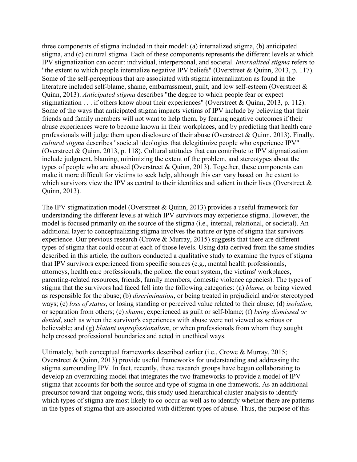three components of stigma included in their model: (a) internalized stigma, (b) anticipated stigma, and (c) cultural stigma. Each of these components represents the different levels at which IPV stigmatization can occur: individual, interpersonal, and societal. *Internalized stigma* refers to "the extent to which people internalize negative IPV beliefs" (Overstreet & Quinn, 2013, p. 117). Some of the self-perceptions that are associated with stigma internalization as found in the literature included self-blame, shame, embarrassment, guilt, and low self-esteem (Overstreet & Quinn, 2013). *Anticipated stigma* describes "the degree to which people fear or expect stigmatization . . . if others know about their experiences" (Overstreet & Quinn, 2013, p. 112). Some of the ways that anticipated stigma impacts victims of IPV include by believing that their friends and family members will not want to help them, by fearing negative outcomes if their abuse experiences were to become known in their workplaces, and by predicting that health care professionals will judge them upon disclosure of their abuse (Overstreet & Quinn, 2013). Finally, *cultural stigma* describes "societal ideologies that delegitimize people who experience IPV" (Overstreet & Quinn, 2013, p. 118). Cultural attitudes that can contribute to IPV stigmatization include judgment, blaming, minimizing the extent of the problem, and stereotypes about the types of people who are abused (Overstreet & Quinn, 2013). Together, these components can make it more difficult for victims to seek help, although this can vary based on the extent to which survivors view the IPV as central to their identities and salient in their lives (Overstreet & Quinn, 2013).

The IPV stigmatization model (Overstreet & Quinn, 2013) provides a useful framework for understanding the different levels at which IPV survivors may experience stigma. However, the model is focused primarily on the source of the stigma (i.e., internal, relational, or societal). An additional layer to conceptualizing stigma involves the nature or type of stigma that survivors experience. Our previous research (Crowe & Murray, 2015) suggests that there are different types of stigma that could occur at each of those levels. Using data derived from the same studies described in this article, the authors conducted a qualitative study to examine the types of stigma that IPV survivors experienced from specific sources (e.g., mental health professionals, attorneys, health care professionals, the police, the court system, the victims' workplaces, parenting-related resources, friends, family members, domestic violence agencies). The types of stigma that the survivors had faced fell into the following categories: (a) *blame*, or being viewed as responsible for the abuse; (b) *discrimination*, or being treated in prejudicial and/or stereotyped ways; (c) *loss of status*, or losing standing or perceived value related to their abuse; (d) *isolation*, or separation from others; (e) *shame*, experienced as guilt or self-blame; (f) *being dismissed or denied*, such as when the survivor's experiences with abuse were not viewed as serious or believable; and (g) *blatant unprofessionalism*, or when professionals from whom they sought help crossed professional boundaries and acted in unethical ways.

Ultimately, both conceptual frameworks described earlier (i.e., Crowe & Murray, 2015; Overstreet & Quinn, 2013) provide useful frameworks for understanding and addressing the stigma surrounding IPV. In fact, recently, these research groups have begun collaborating to develop an overarching model that integrates the two frameworks to provide a model of IPV stigma that accounts for both the source and type of stigma in one framework. As an additional precursor toward that ongoing work, this study used hierarchical cluster analysis to identify which types of stigma are most likely to co-occur as well as to identify whether there are patterns in the types of stigma that are associated with different types of abuse. Thus, the purpose of this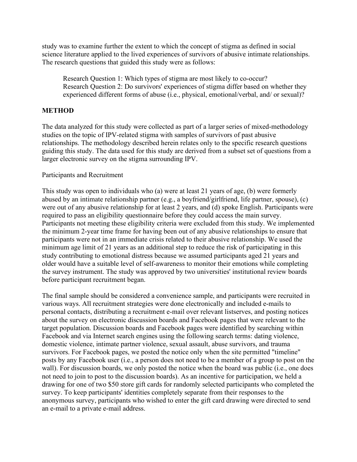study was to examine further the extent to which the concept of stigma as defined in social science literature applied to the lived experiences of survivors of abusive intimate relationships. The research questions that guided this study were as follows:

Research Question 1: Which types of stigma are most likely to co-occur? Research Question 2: Do survivors' experiences of stigma differ based on whether they experienced different forms of abuse (i.e., physical, emotional/verbal, and/ or sexual)?

#### **METHOD**

The data analyzed for this study were collected as part of a larger series of mixed-methodology studies on the topic of IPV-related stigma with samples of survivors of past abusive relationships. The methodology described herein relates only to the specific research questions guiding this study. The data used for this study are derived from a subset set of questions from a larger electronic survey on the stigma surrounding IPV.

#### Participants and Recruitment

This study was open to individuals who (a) were at least 21 years of age, (b) were formerly abused by an intimate relationship partner (e.g., a boyfriend/girlfriend, life partner, spouse), (c) were out of any abusive relationship for at least 2 years, and (d) spoke English. Participants were required to pass an eligibility questionnaire before they could access the main survey. Participants not meeting these eligibility criteria were excluded from this study. We implemented the minimum 2-year time frame for having been out of any abusive relationships to ensure that participants were not in an immediate crisis related to their abusive relationship. We used the minimum age limit of 21 years as an additional step to reduce the risk of participating in this study contributing to emotional distress because we assumed participants aged 21 years and older would have a suitable level of self-awareness to monitor their emotions while completing the survey instrument. The study was approved by two universities' institutional review boards before participant recruitment began.

The final sample should be considered a convenience sample, and participants were recruited in various ways. All recruitment strategies were done electronically and included e-mails to personal contacts, distributing a recruitment e-mail over relevant listserves, and posting notices about the survey on electronic discussion boards and Facebook pages that were relevant to the target population. Discussion boards and Facebook pages were identified by searching within Facebook and via Internet search engines using the following search terms: dating violence, domestic violence, intimate partner violence, sexual assault, abuse survivors, and trauma survivors. For Facebook pages, we posted the notice only when the site permitted "timeline" posts by any Facebook user (i.e., a person does not need to be a member of a group to post on the wall). For discussion boards, we only posted the notice when the board was public (i.e., one does not need to join to post to the discussion boards). As an incentive for participation, we held a drawing for one of two \$50 store gift cards for randomly selected participants who completed the survey. To keep participants' identities completely separate from their responses to the anonymous survey, participants who wished to enter the gift card drawing were directed to send an e-mail to a private e-mail address.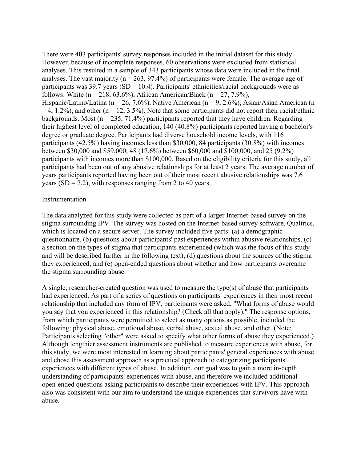There were 403 participants' survey responses included in the initial dataset for this study. However, because of incomplete responses, 60 observations were excluded from statistical analyses. This resulted in a sample of 343 participants whose data were included in the final analyses. The vast majority ( $n = 263, 97.4\%$ ) of participants were female. The average age of participants was 39.7 years (SD = 10.4). Participants' ethnicities/racial backgrounds were as follows: White (n = 218, 63.6%), African American/Black (n = 27, 7.9%), Hispanic/Latino/Latina (n = 26, 7.6%), Native American (n = 9, 2.6%), Asian/Asian American (n  $= 4, 1.2\%$ ), and other (n = 12, 3.5%). Note that some participants did not report their racial/ethnic backgrounds. Most ( $n = 235, 71.4\%$ ) participants reported that they have children. Regarding their highest level of completed education, 140 (40.8%) participants reported having a bachelor's degree or graduate degree. Participants had diverse household income levels, with 116 participants (42.5%) having incomes less than \$30,000, 84 participants (30.8%) with incomes between \$30,000 and \$59,000, 48 (17.6%) between \$60,000 and \$100,000, and 25 (9.2%) participants with incomes more than \$100,000. Based on the eligibility criteria for this study, all participants had been out of any abusive relationships for at least 2 years. The average number of years participants reported having been out of their most recent abusive relationships was 7.6 years  $(SD = 7.2)$ , with responses ranging from 2 to 40 years.

#### Instrumentation

The data analyzed for this study were collected as part of a larger Internet-based survey on the stigma surrounding IPV. The survey was hosted on the Internet-based survey software, Qualtrics, which is located on a secure server. The survey included five parts: (a) a demographic questionnaire, (b) questions about participants' past experiences within abusive relationships, (c) a section on the types of stigma that participants experienced (which was the focus of this study and will be described further in the following text), (d) questions about the sources of the stigma they experienced, and (e) open-ended questions about whether and how participants overcame the stigma surrounding abuse.

A single, researcher-created question was used to measure the type(s) of abuse that participants had experienced. As part of a series of questions on participants' experiences in their most recent relationship that included any form of IPV, participants were asked, "What forms of abuse would you say that you experienced in this relationship? (Check all that apply)." The response options, from which participants were permitted to select as many options as possible, included the following: physical abuse, emotional abuse, verbal abuse, sexual abuse, and other. (Note: Participants selecting "other" were asked to specify what other forms of abuse they experienced.) Although lengthier assessment instruments are published to measure experiences with abuse, for this study, we were most interested in learning about participants' general experiences with abuse and chose this assessment approach as a practical approach to categorizing participants' experiences with different types of abuse. In addition, our goal was to gain a more in-depth understanding of participants' experiences with abuse, and therefore we included additional open-ended questions asking participants to describe their experiences with IPV. This approach also was consistent with our aim to understand the unique experiences that survivors have with abuse.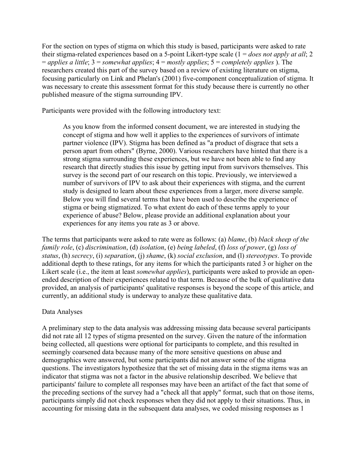For the section on types of stigma on which this study is based, participants were asked to rate their stigma-related experiences based on a 5-point Likert-type scale (1 = *does not apply at all*; 2 = *applies a little*; 3 = *somewhat applies*; 4 = *mostly applies*; 5 = *completely applies* ). The researchers created this part of the survey based on a review of existing literature on stigma, focusing particularly on Link and Phelan's (2001) five-component conceptualization of stigma. It was necessary to create this assessment format for this study because there is currently no other published measure of the stigma surrounding IPV.

Participants were provided with the following introductory text:

As you know from the informed consent document, we are interested in studying the concept of stigma and how well it applies to the experiences of survivors of intimate partner violence (IPV). Stigma has been defined as "a product of disgrace that sets a person apart from others" (Byrne, 2000). Various researchers have hinted that there is a strong stigma surrounding these experiences, but we have not been able to find any research that directly studies this issue by getting input from survivors themselves. This survey is the second part of our research on this topic. Previously, we interviewed a number of survivors of IPV to ask about their experiences with stigma, and the current study is designed to learn about these experiences from a larger, more diverse sample. Below you will find several terms that have been used to describe the experience of stigma or being stigmatized. To what extent do each of these terms apply to your experience of abuse? Below, please provide an additional explanation about your experiences for any items you rate as 3 or above.

The terms that participants were asked to rate were as follows: (a) *blame*, (b) *black sheep of the family role*, (c) *discrimination*, (d) *isolation*, (e) *being labeled*, (f) *loss of power*, (g) *loss of status*, (h) *secrecy*, (i) *separation*, (j) *shame*, (k) *social exclusion*, and (l) *stereotypes*. To provide additional depth to these ratings, for any items for which the participants rated 3 or higher on the Likert scale (i.e., the item at least *somewhat applies*), participants were asked to provide an openended description of their experiences related to that term. Because of the bulk of qualitative data provided, an analysis of participants' qualitative responses is beyond the scope of this article, and currently, an additional study is underway to analyze these qualitative data.

#### Data Analyses

A preliminary step to the data analysis was addressing missing data because several participants did not rate all 12 types of stigma presented on the survey. Given the nature of the information being collected, all questions were optional for participants to complete, and this resulted in seemingly coarsened data because many of the more sensitive questions on abuse and demographics were answered, but some participants did not answer some of the stigma questions. The investigators hypothesize that the set of missing data in the stigma items was an indicator that stigma was not a factor in the abusive relationship described. We believe that participants' failure to complete all responses may have been an artifact of the fact that some of the preceding sections of the survey had a "check all that apply" format, such that on those items, participants simply did not check responses when they did not apply to their situations. Thus, in accounting for missing data in the subsequent data analyses, we coded missing responses as 1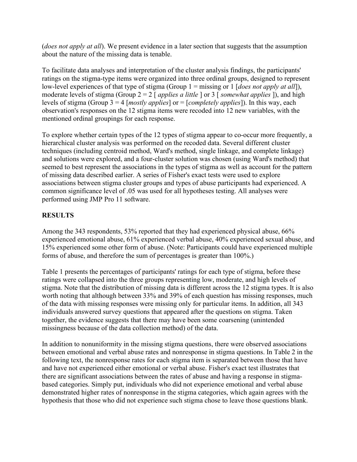(*does not apply at all*). We present evidence in a later section that suggests that the assumption about the nature of the missing data is tenable.

To facilitate data analyses and interpretation of the cluster analysis findings, the participants' ratings on the stigma-type items were organized into three ordinal groups, designed to represent low-level experiences of that type of stigma (Group 1 = missing or 1 [*does not apply at all*]), moderate levels of stigma (Group 2 = 2 [ *applies a little* ] or 3 [ *somewhat applies* ]), and high levels of stigma (Group 3 = 4 [*mostly applies*] or = [*completely applies*]). In this way, each observation's responses on the 12 stigma items were recoded into 12 new variables, with the mentioned ordinal groupings for each response.

To explore whether certain types of the 12 types of stigma appear to co-occur more frequently, a hierarchical cluster analysis was performed on the recoded data. Several different cluster techniques (including centroid method, Ward's method, single linkage, and complete linkage) and solutions were explored, and a four-cluster solution was chosen (using Ward's method) that seemed to best represent the associations in the types of stigma as well as account for the pattern of missing data described earlier. A series of Fisher's exact tests were used to explore associations between stigma cluster groups and types of abuse participants had experienced. A common significance level of .05 was used for all hypotheses testing. All analyses were performed using JMP Pro 11 software.

# **RESULTS**

Among the 343 respondents, 53% reported that they had experienced physical abuse, 66% experienced emotional abuse, 61% experienced verbal abuse, 40% experienced sexual abuse, and 15% experienced some other form of abuse. (Note: Participants could have experienced multiple forms of abuse, and therefore the sum of percentages is greater than 100%.)

Table 1 presents the percentages of participants' ratings for each type of stigma, before these ratings were collapsed into the three groups representing low, moderate, and high levels of stigma. Note that the distribution of missing data is different across the 12 stigma types. It is also worth noting that although between 33% and 39% of each question has missing responses, much of the data with missing responses were missing only for particular items. In addition, all 343 individuals answered survey questions that appeared after the questions on stigma. Taken together, the evidence suggests that there may have been some coarsening (unintended missingness because of the data collection method) of the data.

In addition to nonuniformity in the missing stigma questions, there were observed associations between emotional and verbal abuse rates and nonresponse in stigma questions. In Table 2 in the following text, the nonresponse rates for each stigma item is separated between those that have and have not experienced either emotional or verbal abuse. Fisher's exact test illustrates that there are significant associations between the rates of abuse and having a response in stigmabased categories. Simply put, individuals who did not experience emotional and verbal abuse demonstrated higher rates of nonresponse in the stigma categories, which again agrees with the hypothesis that those who did not experience such stigma chose to leave those questions blank.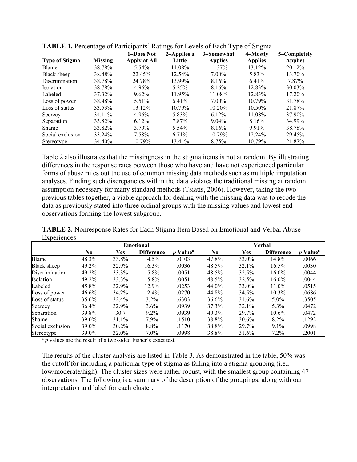|                       | $\sqrt{ }$     | 1–Does Not   | $\sqrt{ }$<br>2-Applies a | 3–Somewhat     | $\sim$<br>4-Mostly | 5-Completely   |
|-----------------------|----------------|--------------|---------------------------|----------------|--------------------|----------------|
| <b>Type of Stigma</b> | <b>Missing</b> | Apply at All | Little                    | <b>Applies</b> | <b>Applies</b>     | <b>Applies</b> |
| Blame                 | 38.78%         | 5.54%        | 11.08%                    | 11.37%         | 13.12%             | 20.12%         |
| Black sheep           | 38.48%         | 22.45%       | 12.54%                    | 7.00%          | 5.83%              | 13.70%         |
| Discrimination        | 38.78%         | 24.78%       | 13.99%                    | 8.16%          | 6.41%              | 7.87%          |
| <b>Isolation</b>      | 38.78%         | 4.96%        | 5.25%                     | 8.16%          | 12.83%             | 30.03%         |
| Labeled               | 37.32%         | 9.62%        | 11.95%                    | 11.08%         | 12.83%             | 17.20%         |
| Loss of power         | 38.48%         | 5.51%        | $6.41\%$                  | 7.00%          | 10.79%             | 31.78%         |
| Loss of status        | 33.53%         | 13.12%       | 10.79%                    | 10.20%         | 10.50%             | 21.87%         |
| Secrecy               | 34.11%         | 4.96%        | 5.83%                     | 6.12%          | 11.08%             | 37.90%         |
| Separation            | 33.82%         | $6.12\%$     | 7.87%                     | 9.04%          | 8.16%              | 34.99%         |
| Shame                 | 33.82%         | 3.79%        | 5.54%                     | 8.16%          | $9.91\%$           | 38.78%         |
| Social exclusion      | 33.24%         | 7.58%        | 6.71%                     | 10.79%         | 12.24%             | 29.45%         |
| Stereotype            | 34.40%         | 10.79%       | 13.41%                    | 8.75%          | 10.79%             | 21.87%         |

**TABLE 1.** Percentage of Participants' Ratings for Levels of Each Type of Stigma

Table 2 also illustrates that the missingness in the stigma items is not at random. By illustrating differences in the response rates between those who have and have not experienced particular forms of abuse rules out the use of common missing data methods such as multiple imputation analyses. Finding such discrepancies within the data violates the traditional missing at random assumption necessary for many standard methods (Tsiatis, 2006). However, taking the two previous tables together, a viable approach for dealing with the missing data was to recode the data as previously stated into three ordinal groups with the missing values and lowest end observations forming the lowest subgroup.

**TABLE 2.** Nonresponse Rates for Each Stigma Item Based on Emotional and Verbal Abuse **Experiences** 

|                  | <b>Emotional</b> |            |                   |                           | Verbal         |       |                   |                    |
|------------------|------------------|------------|-------------------|---------------------------|----------------|-------|-------------------|--------------------|
|                  | No               | <b>Yes</b> | <b>Difference</b> | <b>Value</b> <sup>a</sup> | N <sub>0</sub> | Yes   | <b>Difference</b> | Value <sup>a</sup> |
| Blame            | 48.3%            | 33.8%      | 14.5%             | .0103                     | 47.8%          | 33.0% | 14.8%             | .0066              |
| Black sheep      | 49.2%            | 32.9%      | $16.3\%$          | .0036                     | 48.5%          | 32.1% | $16.5\%$          | .0030              |
| Discrimination   | 49.2%            | 33.3%      | 15.8%             | .0051                     | 48.5%          | 32.5% | $16.0\%$          | .0044              |
| <b>Isolation</b> | 49.2%            | 33.3%      | 15.8%             | .0051                     | 48.5%          | 32.5% | $16.0\%$          | .0044              |
| Labeled          | 45.8%            | 32.9%      | 12.9%             | .0253                     | 44.0%          | 33.0% | 11.0%             | .0515              |
| Loss of power    | 46.6%            | 34.2%      | $12.4\%$          | .0270                     | 44.8%          | 34.5% | $10.3\%$          | .0686              |
| Loss of status   | 35.6%            | 32.4%      | $3.2\%$           | .6303                     | 36.6%          | 31.6% | $5.0\%$           | .3505              |
| Secrecy          | 36.4%            | 32.9%      | $3.6\%$           | .0939                     | 37.3%          | 32.1% | 5.3%              | .0472              |
| Separation       | 39.8%            | 30.7       | $9.2\%$           | .0939                     | 40.3%          | 29.7% | $10.6\%$          | .0472              |
| Shame            | 39.0%            | 31.1%      | $7.9\%$           | .1510                     | 38.8%          | 30.6% | $8.2\%$           | .1292              |
| Social exclusion | 39.0%            | 30.2%      | 8.8%              | .1170                     | 38.8%          | 29.7% | $9.1\%$           | .0998              |
| Stereotype       | 39.0%            | 32.0%      | $7.0\%$           | .0998                     | 38.8%          | 31.6% | $7.2\%$           | .2001              |

<sup>a</sup> *p* values are the result of a two-sided Fisher's exact test.

The results of the cluster analysis are listed in Table 3. As demonstrated in the table, 50% was the cutoff for including a particular type of stigma as falling into a stigma grouping (i.e., low/moderate/high). The cluster sizes were rather robust, with the smallest group containing 47 observations. The following is a summary of the description of the groupings, along with our interpretation and label for each cluster: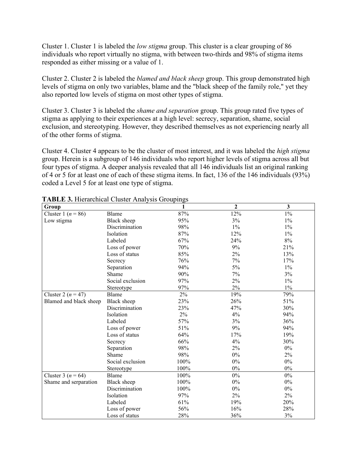Cluster 1. Cluster 1 is labeled the *low stigma* group. This cluster is a clear grouping of 86 individuals who report virtually no stigma, with between two-thirds and 98% of stigma items responded as either missing or a value of 1.

Cluster 2. Cluster 2 is labeled the *blamed and black sheep* group. This group demonstrated high levels of stigma on only two variables, blame and the "black sheep of the family role," yet they also reported low levels of stigma on most other types of stigma.

Cluster 3. Cluster 3 is labeled the *shame and separation* group. This group rated five types of stigma as applying to their experiences at a high level: secrecy, separation, shame, social exclusion, and stereotyping. However, they described themselves as not experiencing nearly all of the other forms of stigma.

Cluster 4. Cluster 4 appears to be the cluster of most interest, and it was labeled the *high stigma* group. Herein is a subgroup of 146 individuals who report higher levels of stigma across all but four types of stigma. A deeper analysis revealed that all 146 individuals list an original ranking of 4 or 5 for at least one of each of these stigma items. In fact, 136 of the 146 individuals (93%) coded a Level 5 for at least one type of stigma.

| <b>Tribule</b> of Thomatomour Cruster Trinary sho Groupings<br>Group |                  | 1     | $\overline{2}$ | $\overline{\mathbf{3}}$ |
|----------------------------------------------------------------------|------------------|-------|----------------|-------------------------|
| Cluster 1 ( $n = 86$ )                                               | Blame            | 87%   | 12%            | $1\%$                   |
| Low stigma                                                           | Black sheep      | 95%   | 3%             | $1\%$                   |
|                                                                      | Discrimination   | 98%   | $1\%$          | $1\%$                   |
|                                                                      | Isolation        | 87%   | 12%            | $1\%$                   |
|                                                                      | Labeled          | 67%   | 24%            | $8\%$                   |
|                                                                      | Loss of power    | 70%   | 9%             | 21%                     |
|                                                                      | Loss of status   | 85%   | $2\%$          | 13%                     |
|                                                                      | Secrecy          | 76%   | 7%             | 17%                     |
|                                                                      | Separation       | 94%   | $5\%$          | $1\%$                   |
|                                                                      | Shame            | 90%   | 7%             | 3%                      |
|                                                                      | Social exclusion | 97%   | 2%             | $1\%$                   |
|                                                                      | Stereotype       | 97%   | $2\%$          | $1\%$                   |
| Cluster 2 $(n = 47)$                                                 | Blame            | $2\%$ | 19%            | 79%                     |
| Blamed and black sheep                                               | Black sheep      | 23%   | 26%            | 51%                     |
|                                                                      | Discrimination   | 23%   | 47%            | 30%                     |
|                                                                      | Isolation        | $2\%$ | 4%             | 94%                     |
|                                                                      | Labeled          | 57%   | 3%             | 36%                     |
|                                                                      | Loss of power    | 51%   | 9%             | 94%                     |
|                                                                      | Loss of status   | 64%   | 17%            | 19%                     |
|                                                                      | Secrecy          | 66%   | 4%             | 30%                     |
|                                                                      | Separation       | 98%   | $2\%$          | $0\%$                   |
|                                                                      | Shame            | 98%   | $0\%$          | $2\%$                   |
|                                                                      | Social exclusion | 100%  | $0\%$          | $0\%$                   |
|                                                                      | Stereotype       | 100%  | $0\%$          | 0%                      |
| Cluster 3 ( $n = 64$ )                                               | Blame            | 100%  | $0\%$          | $0\%$                   |
| Shame and serparation                                                | Black sheep      | 100%  | $0\%$          | $0\%$                   |
|                                                                      | Discrimination   | 100%  | $0\%$          | $0\%$                   |
|                                                                      | Isolation        | 97%   | $2\%$          | $2\%$                   |
|                                                                      | Labeled          | 61%   | 19%            | 20%                     |
|                                                                      | Loss of power    | 56%   | 16%            | 28%                     |
|                                                                      | Loss of status   | 28%   | 36%            | 3%                      |

**TABLE 3.** Hierarchical Cluster Analysis Groupings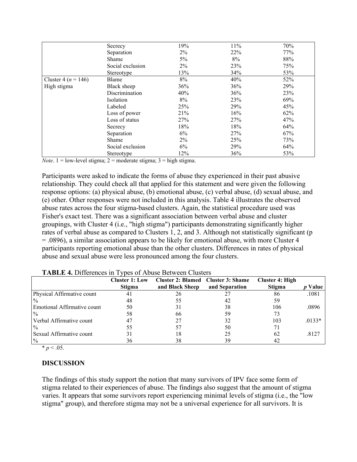|                         | Secrecy          | 19%   | 11% | 70% |
|-------------------------|------------------|-------|-----|-----|
|                         | Separation       | 2%    | 22% | 77% |
|                         | Shame            | $5\%$ | 8%  | 88% |
|                         | Social exclusion | 2%    | 23% | 75% |
|                         | Stereotype       | 13%   | 34% | 53% |
| Cluster 4 ( $n = 146$ ) | Blame            | 8%    | 40% | 52% |
| High stigma             | Black sheep      | 36%   | 36% | 29% |
|                         | Discrimination   | 40%   | 36% | 23% |
|                         | Isolation        | 8%    | 23% | 69% |
|                         | Labeled          | 25%   | 29% | 45% |
|                         | Loss of power    | 21%   | 16% | 62% |
|                         | Loss of status   | 27%   | 27% | 47% |
|                         | Secrecy          | 18%   | 18% | 64% |
|                         | Separation       | 6%    | 27% | 67% |
|                         | Shame            | $2\%$ | 25% | 73% |
|                         | Social exclusion | 6%    | 29% | 64% |
|                         | Stereotype       | 12%   | 36% | 53% |

*Note*.  $1 =$ low-level stigma;  $2 =$ moderate stigma;  $3 =$ high stigma.

Participants were asked to indicate the forms of abuse they experienced in their past abusive relationship. They could check all that applied for this statement and were given the following response options: (a) physical abuse, (b) emotional abuse, (c) verbal abuse, (d) sexual abuse, and (e) other. Other responses were not included in this analysis. Table 4 illustrates the observed abuse rates across the four stigma-based clusters. Again, the statistical procedure used was Fisher's exact test. There was a significant association between verbal abuse and cluster groupings, with Cluster 4 (i.e., "high stigma") participants demonstrating significantly higher rates of verbal abuse as compared to Clusters 1, 2, and 3. Although not statistically significant (p = .0896), a similar association appears to be likely for emotional abuse, with more Cluster 4 participants reporting emotional abuse than the other clusters. Differences in rates of physical abuse and sexual abuse were less pronounced among the four clusters.

|                             | <b>Cluster 1: Low</b> | <b>Cluster 2: Blamed Cluster 3: Shame</b> |                | <b>Cluster 4: High</b> |          |
|-----------------------------|-----------------------|-------------------------------------------|----------------|------------------------|----------|
|                             | <b>Stigma</b>         | and Black Sheep                           | and Separation | Stigma                 | Value    |
| Physical Affirmative count  | 41                    | 26                                        |                | 86                     | .1081    |
| $\frac{0}{0}$               | 48                    | 55                                        |                | 59                     |          |
| Emotional Affirmative count | 50                    |                                           | 38             | 106                    | .0896    |
| $\frac{0}{0}$               | 58                    | 66                                        | 59             | 73                     |          |
| Verbal Affirmative count    | 41                    |                                           | 32             | 103                    | $.0133*$ |
| $\frac{0}{0}$               | 55                    |                                           | 50             |                        |          |
| Sexual Affirmative count    | 31                    | 18                                        | 25             | 62                     | .8127    |
| $\frac{0}{0}$               | 36                    | 38                                        | 39             | 42                     |          |

**TABLE 4.** Differences in Types of Abuse Between Clusters

 $* p < .05$ .

#### **DISCUSSION**

The findings of this study support the notion that many survivors of IPV face some form of stigma related to their experiences of abuse. The findings also suggest that the amount of stigma varies. It appears that some survivors report experiencing minimal levels of stigma (i.e., the "low stigma" group), and therefore stigma may not be a universal experience for all survivors. It is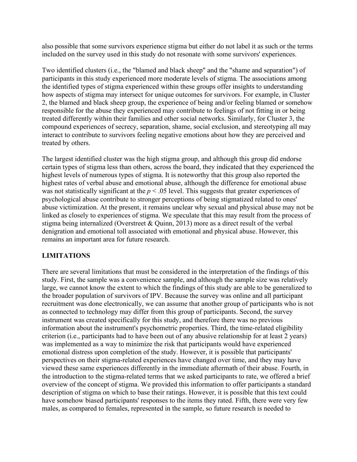also possible that some survivors experience stigma but either do not label it as such or the terms included on the survey used in this study do not resonate with some survivors' experiences.

Two identified clusters (i.e., the "blamed and black sheep" and the "shame and separation") of participants in this study experienced more moderate levels of stigma. The associations among the identified types of stigma experienced within these groups offer insights to understanding how aspects of stigma may intersect for unique outcomes for survivors. For example, in Cluster 2, the blamed and black sheep group, the experience of being and/or feeling blamed or somehow responsible for the abuse they experienced may contribute to feelings of not fitting in or being treated differently within their families and other social networks. Similarly, for Cluster 3, the compound experiences of secrecy, separation, shame, social exclusion, and stereotyping all may interact to contribute to survivors feeling negative emotions about how they are perceived and treated by others.

The largest identified cluster was the high stigma group, and although this group did endorse certain types of stigma less than others, across the board, they indicated that they experienced the highest levels of numerous types of stigma. It is noteworthy that this group also reported the highest rates of verbal abuse and emotional abuse, although the difference for emotional abuse was not statistically significant at the  $p < .05$  level. This suggests that greater experiences of psychological abuse contribute to stronger perceptions of being stigmatized related to ones' abuse victimization. At the present, it remains unclear why sexual and physical abuse may not be linked as closely to experiences of stigma. We speculate that this may result from the process of stigma being internalized (Overstreet & Quinn, 2013) more as a direct result of the verbal denigration and emotional toll associated with emotional and physical abuse. However, this remains an important area for future research.

## **LIMITATIONS**

There are several limitations that must be considered in the interpretation of the findings of this study. First, the sample was a convenience sample, and although the sample size was relatively large, we cannot know the extent to which the findings of this study are able to be generalized to the broader population of survivors of IPV. Because the survey was online and all participant recruitment was done electronically, we can assume that another group of participants who is not as connected to technology may differ from this group of participants. Second, the survey instrument was created specifically for this study, and therefore there was no previous information about the instrument's psychometric properties. Third, the time-related eligibility criterion (i.e., participants had to have been out of any abusive relationship for at least 2 years) was implemented as a way to minimize the risk that participants would have experienced emotional distress upon completion of the study. However, it is possible that participants' perspectives on their stigma-related experiences have changed over time, and they may have viewed these same experiences differently in the immediate aftermath of their abuse. Fourth, in the introduction to the stigma-related terms that we asked participants to rate, we offered a brief overview of the concept of stigma. We provided this information to offer participants a standard description of stigma on which to base their ratings. However, it is possible that this text could have somehow biased participants' responses to the items they rated. Fifth, there were very few males, as compared to females, represented in the sample, so future research is needed to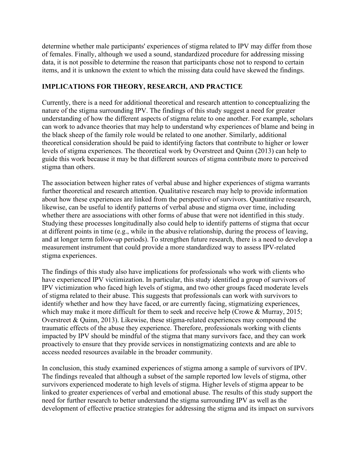determine whether male participants' experiences of stigma related to IPV may differ from those of females. Finally, although we used a sound, standardized procedure for addressing missing data, it is not possible to determine the reason that participants chose not to respond to certain items, and it is unknown the extent to which the missing data could have skewed the findings.

## **IMPLICATIONS FOR THEORY, RESEARCH, AND PRACTICE**

Currently, there is a need for additional theoretical and research attention to conceptualizing the nature of the stigma surrounding IPV. The findings of this study suggest a need for greater understanding of how the different aspects of stigma relate to one another. For example, scholars can work to advance theories that may help to understand why experiences of blame and being in the black sheep of the family role would be related to one another. Similarly, additional theoretical consideration should be paid to identifying factors that contribute to higher or lower levels of stigma experiences. The theoretical work by Overstreet and Quinn (2013) can help to guide this work because it may be that different sources of stigma contribute more to perceived stigma than others.

The association between higher rates of verbal abuse and higher experiences of stigma warrants further theoretical and research attention. Qualitative research may help to provide information about how these experiences are linked from the perspective of survivors. Quantitative research, likewise, can be useful to identify patterns of verbal abuse and stigma over time, including whether there are associations with other forms of abuse that were not identified in this study. Studying these processes longitudinally also could help to identify patterns of stigma that occur at different points in time (e.g., while in the abusive relationship, during the process of leaving, and at longer term follow-up periods). To strengthen future research, there is a need to develop a measurement instrument that could provide a more standardized way to assess IPV-related stigma experiences.

The findings of this study also have implications for professionals who work with clients who have experienced IPV victimization. In particular, this study identified a group of survivors of IPV victimization who faced high levels of stigma, and two other groups faced moderate levels of stigma related to their abuse. This suggests that professionals can work with survivors to identify whether and how they have faced, or are currently facing, stigmatizing experiences, which may make it more difficult for them to seek and receive help (Crowe & Murray, 2015; Overstreet & Quinn, 2013). Likewise, these stigma-related experiences may compound the traumatic effects of the abuse they experience. Therefore, professionals working with clients impacted by IPV should be mindful of the stigma that many survivors face, and they can work proactively to ensure that they provide services in nonstigmatizing contexts and are able to access needed resources available in the broader community.

In conclusion, this study examined experiences of stigma among a sample of survivors of IPV. The findings revealed that although a subset of the sample reported low levels of stigma, other survivors experienced moderate to high levels of stigma. Higher levels of stigma appear to be linked to greater experiences of verbal and emotional abuse. The results of this study support the need for further research to better understand the stigma surrounding IPV as well as the development of effective practice strategies for addressing the stigma and its impact on survivors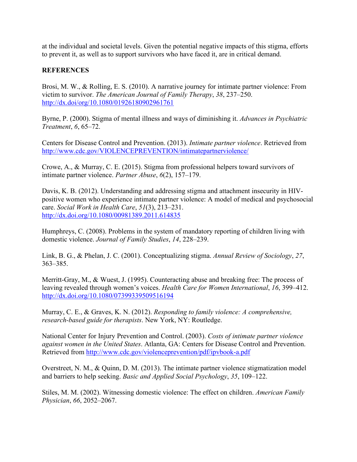at the individual and societal levels. Given the potential negative impacts of this stigma, efforts to prevent it, as well as to support survivors who have faced it, are in critical demand.

## **REFERENCES**

Brosi, M. W., & Rolling, E. S. (2010). A narrative journey for intimate partner violence: From victim to survivor. *The American Journal of Family Therapy*, *38*, 237–250. <http://dx.doi/org/10.1080/01926180902961761>

Byrne, P. (2000). Stigma of mental illness and ways of diminishing it. *Advances in Psychiatric Treatment*, *6*, 65–72.

Centers for Disease Control and Prevention. (2013). *Intimate partner violence*. Retrieved from <http://www.cdc.gov/VIOLENCEPREVENTION/intimatepartnerviolence/>

Crowe, A., & Murray, C. E. (2015). Stigma from professional helpers toward survivors of intimate partner violence. *Partner Abuse*, *6*(2), 157–179.

Davis, K. B. (2012). Understanding and addressing stigma and attachment insecurity in HIVpositive women who experience intimate partner violence: A model of medical and psychosocial care. *Social Work in Health Care*, *51*(3), 213–231. <http://dx.doi.org/10.1080/00981389.2011.614835>

Humphreys, C. (2008). Problems in the system of mandatory reporting of children living with domestic violence. *Journal of Family Studies*, *14*, 228–239.

Link, B. G., & Phelan, J. C. (2001). Conceptualizing stigma. *Annual Review of Sociology*, *27*, 363–385.

Merritt-Gray, M., & Wuest, J. (1995). Counteracting abuse and breaking free: The process of leaving revealed through women's voices. *Health Care for Women International*, *16*, 399–412. <http://dx.doi.org/10.1080/07399339509516194>

Murray, C. E., & Graves, K. N. (2012). *Responding to family violence: A comprehensive, research-based guide for therapists*. New York, NY: Routledge.

National Center for Injury Prevention and Control. (2003). *Costs of intimate partner violence against women in the United States*. Atlanta, GA: Centers for Disease Control and Prevention. Retrieved from<http://www.cdc.gov/violenceprevention/pdf/ipvbook-a.pdf>

Overstreet, N. M., & Quinn, D. M. (2013). The intimate partner violence stigmatization model and barriers to help seeking. *Basic and Applied Social Psychology*, *35*, 109–122.

Stiles, M. M. (2002). Witnessing domestic violence: The effect on children. *American Family Physician*, *66*, 2052–2067.